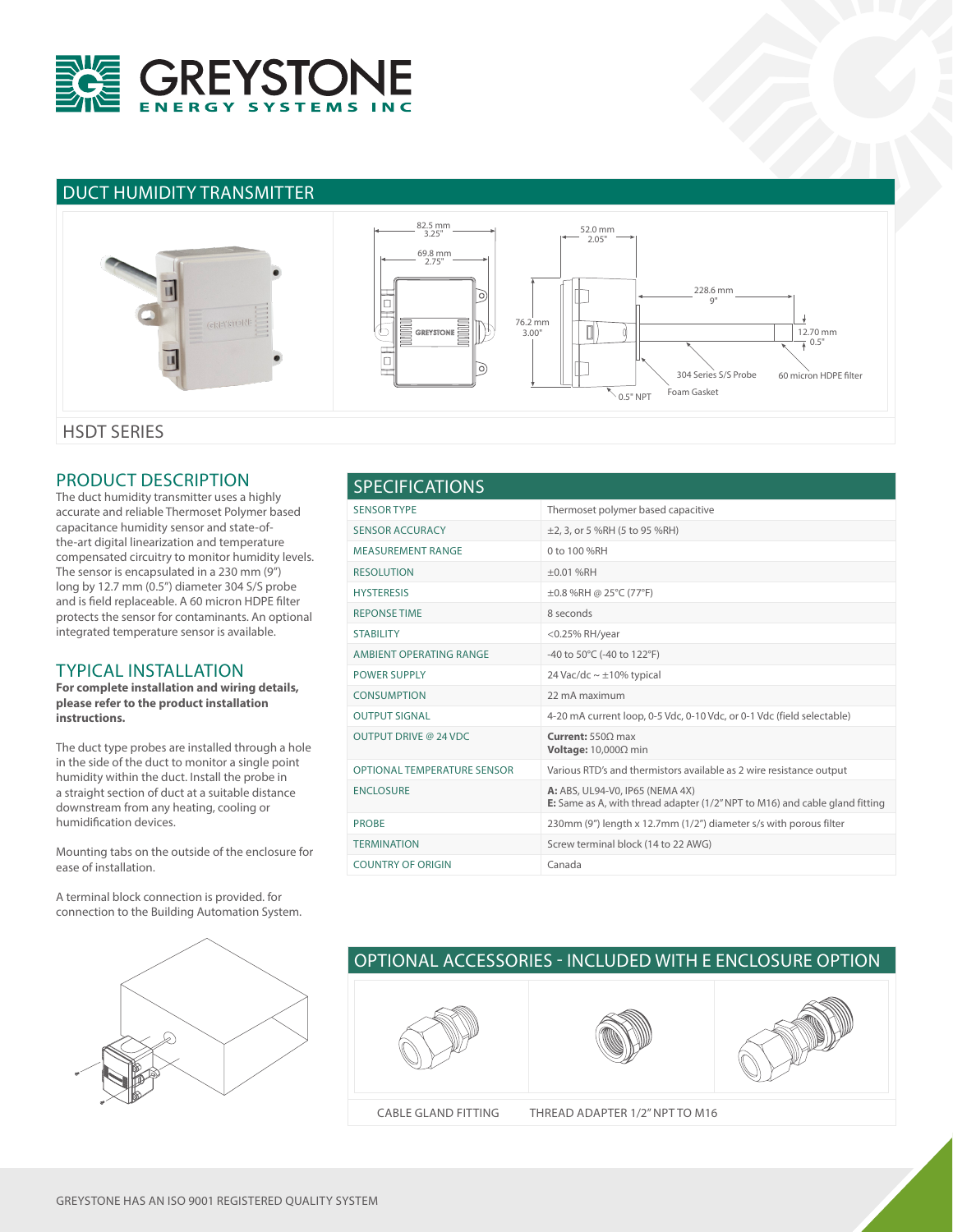

## DUCT HUMIDITY TRANSMITTER



#### PRODUCT DESCRIPTION

The duct humidity transmitter uses a highly accurate and reliable Thermoset Polymer based capacitance humidity sensor and state-ofthe-art digital linearization and temperature compensated circuitry to monitor humidity levels. The sensor is encapsulated in a 230 mm (9") long by 12.7 mm (0.5") diameter 304 S/S probe and is field replaceable. A 60 micron HDPE filter protects the sensor for contaminants. An optional integrated temperature sensor is available.

#### TYPICAL INSTALLATION

**For complete installation and wiring details, please refer to the product installation instructions.**

The duct type probes are installed through a hole in the side of the duct to monitor a single point humidity within the duct. Install the probe in a straight section of duct at a suitable distance downstream from any heating, cooling or humidification devices.

Mounting tabs on the outside of the enclosure for ease of installation.

A terminal block connection is provided. for connection to the Building Automation System.



## SENSOR TYPE Thermoset polymer based capacitive SENSOR ACCURACY  $\pm$ 2, 3, or 5 %RH (5 to 95 %RH) MEASUREMENT RANGE 0 to 100 %RH RESOLUTION ±0.01 %RH HYSTERESIS ±0.8 %RH @ 25°C (77°F) REPONSE TIME 8 seconds STABILITY <0.25% RH/year AMBIENT OPERATING RANGE -40 to 50°C (-40 to 122°F) POWER SUPPLY 24 Vac/dc ~ ±10% typical CONSUMPTION 22 mA maximum OUTPUT SIGNAL 4-20 mA current loop, 0-5 Vdc, 0-10 Vdc, or 0-1 Vdc (field selectable) OUTPUT DRIVE @ 24 VDC **Current:** 550Ω max **Voltage:** 10,000Ω min OPTIONAL TEMPERATURE SENSOR Various RTD's and thermistors available as 2 wire resistance output ENCLOSURE **A:** ABS, UL94-V0, IP65 (NEMA 4X) **E:** Same as A, with thread adapter (1/2" NPT to M16) and cable gland fitting PROBE 230mm (9") length x 12.7mm (1/2") diameter s/s with porous filter TERMINATION Screw terminal block (14 to 22 AWG) COUNTRY OF ORIGIN Canada SPECIFICATIONS

# OPTIONAL ACCESSORIES - INCLUDED WITH E ENCLOSURE OPTION







CABLE GLAND FITTING THREAD ADAPTER 1/2" NPT TO M16